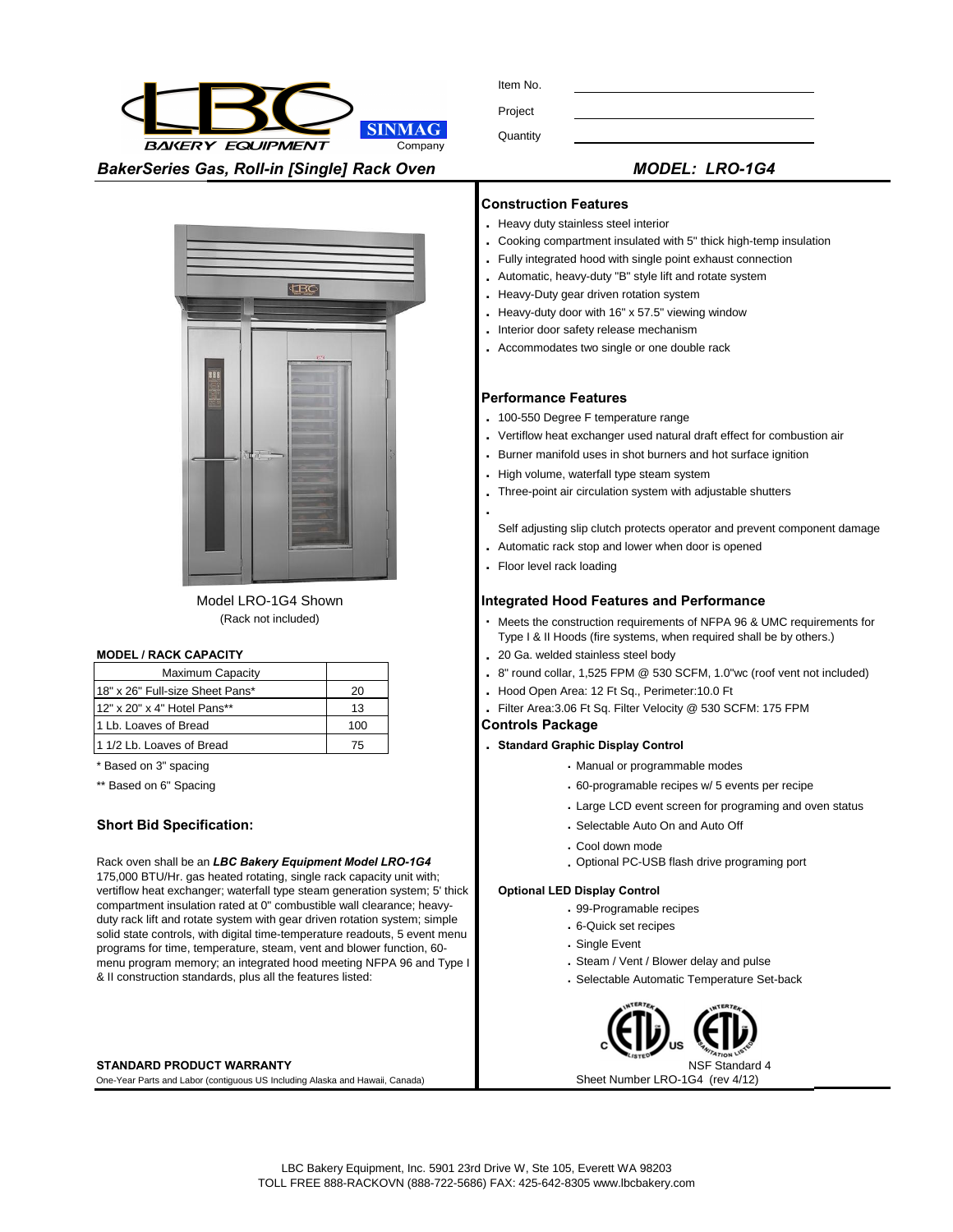Item No.

Project

**SINMAG** 

Company

**Quantity** 

*BakerSeries Gas, Roll-in [Single] Rack Oven MODEL: LRO-1G4*

**BAKERY EQUIPMENT** 

| $M\cap$ FI $\cdot$ I DO.1 |  |  |
|---------------------------|--|--|



Model LRO-1G4 Shown (Rack not included)

| <b>Maximum Capacity</b>          |     |
|----------------------------------|-----|
| 118" x 26" Full-size Sheet Pans* | 20  |
| 112" x 20" x 4" Hotel Pans**     | 13  |
| 1 Lb. Loaves of Bread            | 100 |
| 11/2 Lb. Loaves of Bread         | 75  |

### Rack oven shall be an *LBC Bakery Equipment Model LRO-1G4*  175,000 BTU/Hr. gas heated rotating, single rack capacity unit with; vertiflow heat exchanger; waterfall type steam generation system; 5' thick compartment insulation rated at 0" combustible wall clearance; heavyduty rack lift and rotate system with gear driven rotation system; simple solid state controls, with digital time-temperature readouts, 5 event menu programs for time, temperature, steam, vent and blower function, 60 menu program memory; an integrated hood meeting NFPA 96 and Type I

### **STANDARD PRODUCT WARRANTY**

One-Year Parts and Labor (contiguous US Including Alaska and Hawaii, Canada) Sheet Number LRO-1G4 (rev 4/12)

& II construction standards, plus all the features listed:

### **Construction Features**

- **.** Heavy duty stainless steel interior
- **.** Cooking compartment insulated with 5" thick high-temp insulation
- **.** Fully integrated hood with single point exhaust connection
- **.** Automatic, heavy-duty "B" style lift and rotate system
- **.** Heavy-Duty gear driven rotation system
- **.** Heavy-duty door with 16" x 57.5" viewing window
- **.** Interior door safety release mechanism
- **.** Accommodates two single or one double rack

### **Performance Features**

- **.** 100-550 Degree F temperature range
- **.** Vertiflow heat exchanger used natural draft effect for combustion air
- **.** Burner manifold uses in shot burners and hot surface ignition
- **.** High volume, waterfall type steam system
- **.** Three-point air circulation system with adjustable shutters
- Self adjusting slip clutch protects operator and prevent component damage
- **.** Automatic rack stop and lower when door is opened
- **.** Floor level rack loading

**.**

### **Integrated Hood Features and Performance**

- **.** Meets the construction requirements of NFPA 96 & UMC requirements for Type I & II Hoods (fire systems, when required shall be by others.)
- **MODEL / RACK CAPACITY .** 20 Ga. welded stainless steel body
	- **.** 8" round collar, 1,525 FPM @ 530 SCFM, 1.0"wc (roof vent not included)
	- 20 **.** Hood Open Area: 12 Ft Sq., Perimeter:10.0 Ft
	- 13 **.** Filter Area:3.06 Ft Sq. Filter Velocity @ 530 SCFM: 175 FPM

# **Controls Package**

- 75 **. Standard Graphic Display Control**
- \* Based on 3" spacing **.** Manual or programmable modes
- \*\* Based on 6" Spacing **... 60-programable recipes w/ 5 events per recipe .** 60-programable recipes w/ 5 events per recipe
	- **.** Large LCD event screen for programing and oven status
- **Short Bid Specification: ... Selectable Auto On and Auto Officer Auto Officer Auto Officer Auto Officer Auto Officer Auto Officer Auto Officer Auto Officer Auto Officer Auto Officer Auto Officer Auto Officer Auto Office** 
	- **.** Cool down mode
	- **.** Optional PC-USB flash drive programing port

### **Optional LED Display Control**

- **.** 99-Programable recipes
- **.** 6-Quick set recipes
- **.** Single Event
- **.** Steam / Vent / Blower delay and pulse
- **.** Selectable Automatic Temperature Set-back